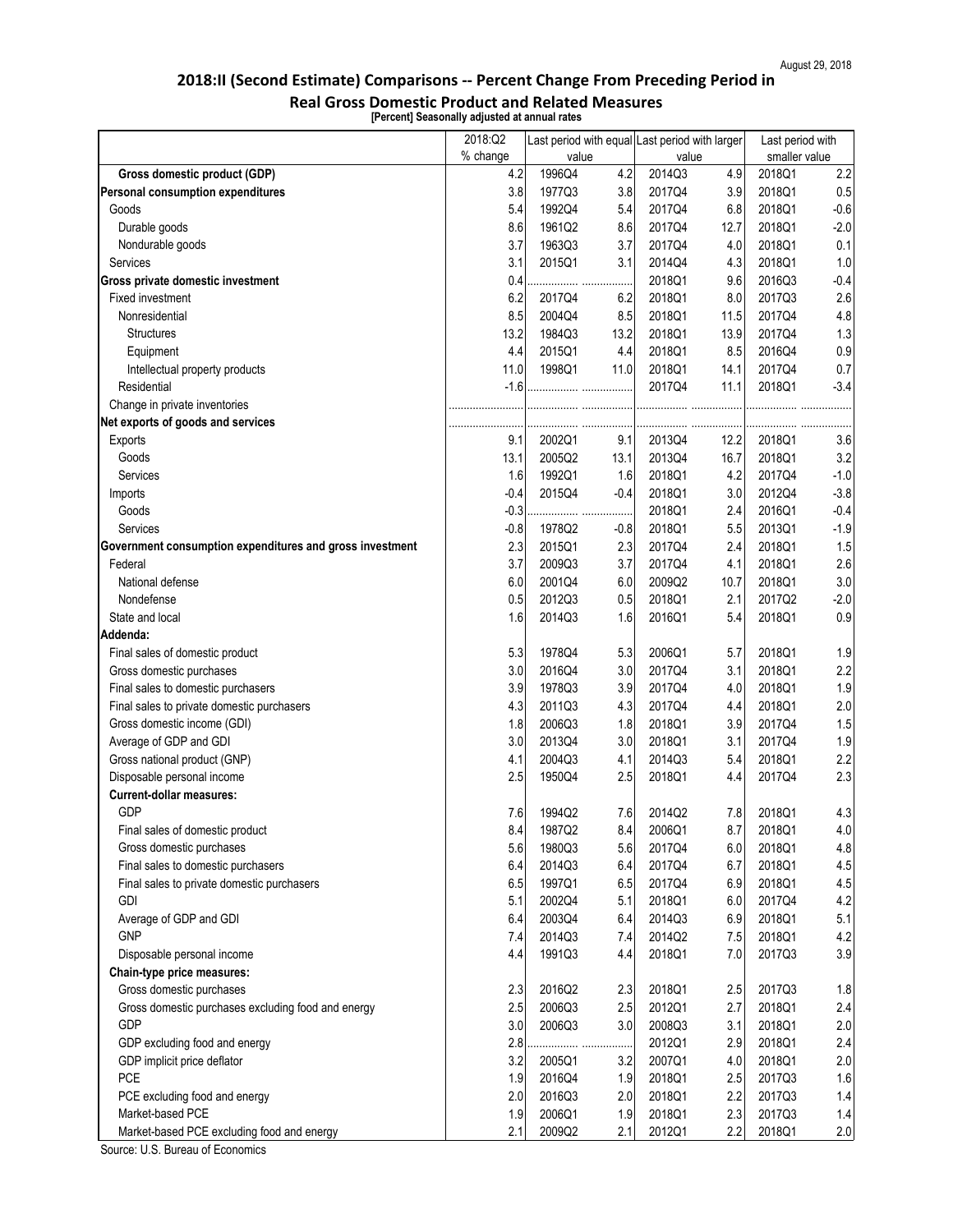| smaller value<br>value<br>value<br>1996Q4<br>4.2<br>4.9<br>2.2<br>Gross domestic product (GDP)<br>4.2<br>2014Q3<br>2018Q1<br><b>Personal consumption expenditures</b><br>3.8<br>1977Q3<br>3.8<br>2017Q4<br>3.9<br>2018Q1<br>1992Q4<br>5.4<br>2017Q4<br>6.8<br>2018Q1<br>Goods<br>5.4<br>$-2.0$<br>Durable goods<br>8.6<br>1961Q2<br>8.6<br>2017Q4<br>12.7<br>2018Q1<br>Nondurable goods<br>2018Q1<br>0.1<br>3.7<br>1963Q3<br>3.7<br>2017Q4<br>4.0<br>3.1<br>3.1<br>4.3<br>2018Q1<br>2015Q1<br>2014Q4<br>1.0<br>Services<br>2018Q1<br>9.6<br>Gross private domestic investment<br>0.4<br>2016Q3<br>$-0.4$<br>6.2<br>2.6<br>Fixed investment<br>2017Q4<br>6.2<br>2018Q1<br>8.0<br>2017Q3<br>4.8<br>Nonresidential<br>8.5<br>2018Q1<br>11.5<br>2017Q4<br>2004Q4<br>8.5<br>1.3<br>2018Q1<br>13.9<br>2017Q4<br>13.2<br>1984Q3<br>13.2<br><b>Structures</b><br>8.5<br>0.9<br>2015Q1<br>4.4<br>2018Q1<br>2016Q4<br>Equipment<br>4.4<br>2018Q1<br>2017Q4<br>0.7<br>11.0<br>1998Q1<br>11.0<br>14.1<br>Intellectual property products<br>Residential<br>$-1.6$<br>2017Q4<br>11.1<br>2018Q1<br>$-3.4$<br>Change in private inventories<br>Net exports of goods and services<br>12.2<br>2018Q1<br><b>Exports</b><br>9.1<br>2002Q1<br>9.1<br>2013Q4<br>3.6<br>3.2<br>13.1<br>16.7<br>2018Q1<br>Goods<br>2005Q2<br>13.1<br>2013Q4<br>1992Q1<br>2018Q1<br><b>Services</b><br>1.6<br>1.6<br>4.2<br>2017Q4<br>$-1.0$<br>$-3.8$<br>$-0.4$<br>2015Q4<br>$-0.4$<br>2018Q1<br>3.0<br>2012Q4<br>Imports<br>$-0.3$<br>2016Q1<br>$-0.4$<br>2018Q1<br>2.4<br>Goods<br>Services<br>2018Q1<br>5.5<br>2013Q1<br>$-1.9$<br>$-0.8$<br>1978Q2<br>$-0.8$<br>2.3<br>2015Q1<br>2.3<br>2017Q4<br>2.4<br>2018Q1<br>1.5<br>Government consumption expenditures and gross investment<br>Federal<br>2.6<br>3.7<br>2009Q3<br>3.7<br>2017Q4<br>4.1<br>2018Q1<br>3.0<br>2009Q2<br>National defense<br>6.0<br>2001Q4<br>6.0<br>10.7<br>2018Q1<br>Nondefense<br>0.5<br>2018Q1<br>2017Q2<br>$-2.0$<br>0.5<br>2012Q3<br>2.1<br>0.9<br>1.6<br>2014Q3<br>1.6<br>2016Q1<br>5.4<br>201801<br>State and local<br>Addenda:<br>5.3<br>1978Q4<br>5.3<br>2006Q1<br>5.7<br>2018Q1<br>1.9<br>Final sales of domestic product<br>2.2<br>2016Q4<br>Gross domestic purchases<br>3.0<br>3.0<br>2017Q4<br>3.1<br>2018Q1<br>Final sales to domestic purchasers<br>1.9<br>3.9<br>3.9<br>2018Q1<br>1978Q3<br>2017Q4<br>4.0<br>2.0<br>4.3<br>4.3<br>2017Q4<br>2018Q1<br>Final sales to private domestic purchasers<br>2011Q3<br>4.4<br>1.5<br>Gross domestic income (GDI)<br>2018Q1<br>3.9<br>1.8<br>2006Q3<br>1.8<br>2017Q4<br>Average of GDP and GDI<br>3.0<br>3.0<br>2018Q1<br>2017Q4<br>1.9<br>2013Q4<br>3.1<br>Gross national product (GNP)<br>2018Q1<br>2.2<br>4.1<br>2004Q3<br>4.1<br>2014Q3<br>5.4<br>2.3<br>Disposable personal income<br>2.5<br>2.5<br>2018Q1<br>2017Q4<br>1950Q4<br>4.4<br><b>Current-dollar measures:</b><br><b>GDP</b><br>7.8<br>4.3<br>7.6<br>1994Q2<br>7.6<br>2014Q2<br>2018Q1<br>4.0<br>8.4<br>1987Q2<br>8.4<br>2006Q1<br>8.7<br>2018Q1<br>Final sales of domestic product<br>4.8<br>Gross domestic purchases<br>1980Q3<br>5.6<br>2017Q4<br>6.0<br>2018Q1<br>5.6<br>2018Q1<br>4.5<br>Final sales to domestic purchasers<br>6.4<br>2014Q3<br>6.4<br>2017Q4<br>6.7<br>Final sales to private domestic purchasers<br>6.5<br>6.9<br>2018Q1<br>4.5<br>6.5<br>1997Q1<br>2017Q4<br>4.2<br><b>GDI</b><br>2002Q4<br>5.1<br>2018Q1<br>6.0<br>2017Q4<br>5.1<br>Average of GDP and GDI<br>6.9<br>2018Q1<br>5.1<br>6.4<br>2003Q4<br>6.4<br>2014Q3<br>4.2<br><b>GNP</b><br>2014Q3<br>2014Q2<br>7.5<br>2018Q1<br>7.4<br>7.4<br>3.9<br>1991Q3<br>4.4<br>2018Q1<br>7.0<br>2017Q3<br>Disposable personal income<br>4.4<br><b>Chain-type price measures:</b><br>2.3<br>2016Q2<br>2.3<br>2018Q1<br>2.5<br>2017Q3<br>1.8<br>Gross domestic purchases<br>Gross domestic purchases excluding food and energy<br>2.5<br>2.5<br>2018Q1<br>2.4<br>2006Q3<br>2012Q1<br>2.7<br>2.0<br><b>GDP</b><br>3.0<br>2006Q3<br>3.0<br>2008Q3<br>3.1<br>2018Q1<br>GDP excluding food and energy<br>2.8<br>2012Q1<br>2.9<br>2018Q1<br>2.4<br>.<br>.<br>GDP implicit price deflator<br>3.2<br>2005Q1<br>3.2<br>2007Q1<br>4.0<br>2018Q1<br>2.0<br><b>PCE</b><br>1.6<br>2.5<br>2017Q3<br>1.9<br>2016Q4<br>1.9<br>2018Q1<br>2018Q1<br>2.2<br>1.4<br>2.0<br>2016Q3<br>2.0<br>2017Q3<br>PCE excluding food and energy<br>2.3<br>1.9<br>1.4<br>2006Q1<br>1.9<br>2018Q1<br>Market-based PCE<br>2017Q3 | 2018:Q2  | Last period with equal Last period with larger |  | Last period with |  |
|---------------------------------------------------------------------------------------------------------------------------------------------------------------------------------------------------------------------------------------------------------------------------------------------------------------------------------------------------------------------------------------------------------------------------------------------------------------------------------------------------------------------------------------------------------------------------------------------------------------------------------------------------------------------------------------------------------------------------------------------------------------------------------------------------------------------------------------------------------------------------------------------------------------------------------------------------------------------------------------------------------------------------------------------------------------------------------------------------------------------------------------------------------------------------------------------------------------------------------------------------------------------------------------------------------------------------------------------------------------------------------------------------------------------------------------------------------------------------------------------------------------------------------------------------------------------------------------------------------------------------------------------------------------------------------------------------------------------------------------------------------------------------------------------------------------------------------------------------------------------------------------------------------------------------------------------------------------------------------------------------------------------------------------------------------------------------------------------------------------------------------------------------------------------------------------------------------------------------------------------------------------------------------------------------------------------------------------------------------------------------------------------------------------------------------------------------------------------------------------------------------------------------------------------------------------------------------------------------------------------------------------------------------------------------------------------------------------------------------------------------------------------------------------------------------------------------------------------------------------------------------------------------------------------------------------------------------------------------------------------------------------------------------------------------------------------------------------------------------------------------------------------------------------------------------------------------------------------------------------------------------------------------------------------------------------------------------------------------------------------------------------------------------------------------------------------------------------------------------------------------------------------------------------------------------------------------------------------------------------------------------------------------------------------------------------------------------------------------------------------------------------------------------------------------------------------------------------------------------------------------------------------------------------------------------------------------------------------------------------------------------------------------------------------------------------------------------------------------------------------------------------------------------------------------------------------------------------------------------------------------------------------------------------------------------------------------------------------------------------------------------------------------------------------|----------|------------------------------------------------|--|------------------|--|
|                                                                                                                                                                                                                                                                                                                                                                                                                                                                                                                                                                                                                                                                                                                                                                                                                                                                                                                                                                                                                                                                                                                                                                                                                                                                                                                                                                                                                                                                                                                                                                                                                                                                                                                                                                                                                                                                                                                                                                                                                                                                                                                                                                                                                                                                                                                                                                                                                                                                                                                                                                                                                                                                                                                                                                                                                                                                                                                                                                                                                                                                                                                                                                                                                                                                                                                                                                                                                                                                                                                                                                                                                                                                                                                                                                                                                                                                                                                                                                                                                                                                                                                                                                                                                                                                                                                                                                                                                     | % change |                                                |  |                  |  |
|                                                                                                                                                                                                                                                                                                                                                                                                                                                                                                                                                                                                                                                                                                                                                                                                                                                                                                                                                                                                                                                                                                                                                                                                                                                                                                                                                                                                                                                                                                                                                                                                                                                                                                                                                                                                                                                                                                                                                                                                                                                                                                                                                                                                                                                                                                                                                                                                                                                                                                                                                                                                                                                                                                                                                                                                                                                                                                                                                                                                                                                                                                                                                                                                                                                                                                                                                                                                                                                                                                                                                                                                                                                                                                                                                                                                                                                                                                                                                                                                                                                                                                                                                                                                                                                                                                                                                                                                                     |          |                                                |  |                  |  |
|                                                                                                                                                                                                                                                                                                                                                                                                                                                                                                                                                                                                                                                                                                                                                                                                                                                                                                                                                                                                                                                                                                                                                                                                                                                                                                                                                                                                                                                                                                                                                                                                                                                                                                                                                                                                                                                                                                                                                                                                                                                                                                                                                                                                                                                                                                                                                                                                                                                                                                                                                                                                                                                                                                                                                                                                                                                                                                                                                                                                                                                                                                                                                                                                                                                                                                                                                                                                                                                                                                                                                                                                                                                                                                                                                                                                                                                                                                                                                                                                                                                                                                                                                                                                                                                                                                                                                                                                                     |          |                                                |  | 0.5              |  |
|                                                                                                                                                                                                                                                                                                                                                                                                                                                                                                                                                                                                                                                                                                                                                                                                                                                                                                                                                                                                                                                                                                                                                                                                                                                                                                                                                                                                                                                                                                                                                                                                                                                                                                                                                                                                                                                                                                                                                                                                                                                                                                                                                                                                                                                                                                                                                                                                                                                                                                                                                                                                                                                                                                                                                                                                                                                                                                                                                                                                                                                                                                                                                                                                                                                                                                                                                                                                                                                                                                                                                                                                                                                                                                                                                                                                                                                                                                                                                                                                                                                                                                                                                                                                                                                                                                                                                                                                                     |          |                                                |  | $-0.6$           |  |
|                                                                                                                                                                                                                                                                                                                                                                                                                                                                                                                                                                                                                                                                                                                                                                                                                                                                                                                                                                                                                                                                                                                                                                                                                                                                                                                                                                                                                                                                                                                                                                                                                                                                                                                                                                                                                                                                                                                                                                                                                                                                                                                                                                                                                                                                                                                                                                                                                                                                                                                                                                                                                                                                                                                                                                                                                                                                                                                                                                                                                                                                                                                                                                                                                                                                                                                                                                                                                                                                                                                                                                                                                                                                                                                                                                                                                                                                                                                                                                                                                                                                                                                                                                                                                                                                                                                                                                                                                     |          |                                                |  |                  |  |
|                                                                                                                                                                                                                                                                                                                                                                                                                                                                                                                                                                                                                                                                                                                                                                                                                                                                                                                                                                                                                                                                                                                                                                                                                                                                                                                                                                                                                                                                                                                                                                                                                                                                                                                                                                                                                                                                                                                                                                                                                                                                                                                                                                                                                                                                                                                                                                                                                                                                                                                                                                                                                                                                                                                                                                                                                                                                                                                                                                                                                                                                                                                                                                                                                                                                                                                                                                                                                                                                                                                                                                                                                                                                                                                                                                                                                                                                                                                                                                                                                                                                                                                                                                                                                                                                                                                                                                                                                     |          |                                                |  |                  |  |
|                                                                                                                                                                                                                                                                                                                                                                                                                                                                                                                                                                                                                                                                                                                                                                                                                                                                                                                                                                                                                                                                                                                                                                                                                                                                                                                                                                                                                                                                                                                                                                                                                                                                                                                                                                                                                                                                                                                                                                                                                                                                                                                                                                                                                                                                                                                                                                                                                                                                                                                                                                                                                                                                                                                                                                                                                                                                                                                                                                                                                                                                                                                                                                                                                                                                                                                                                                                                                                                                                                                                                                                                                                                                                                                                                                                                                                                                                                                                                                                                                                                                                                                                                                                                                                                                                                                                                                                                                     |          |                                                |  |                  |  |
|                                                                                                                                                                                                                                                                                                                                                                                                                                                                                                                                                                                                                                                                                                                                                                                                                                                                                                                                                                                                                                                                                                                                                                                                                                                                                                                                                                                                                                                                                                                                                                                                                                                                                                                                                                                                                                                                                                                                                                                                                                                                                                                                                                                                                                                                                                                                                                                                                                                                                                                                                                                                                                                                                                                                                                                                                                                                                                                                                                                                                                                                                                                                                                                                                                                                                                                                                                                                                                                                                                                                                                                                                                                                                                                                                                                                                                                                                                                                                                                                                                                                                                                                                                                                                                                                                                                                                                                                                     |          |                                                |  |                  |  |
|                                                                                                                                                                                                                                                                                                                                                                                                                                                                                                                                                                                                                                                                                                                                                                                                                                                                                                                                                                                                                                                                                                                                                                                                                                                                                                                                                                                                                                                                                                                                                                                                                                                                                                                                                                                                                                                                                                                                                                                                                                                                                                                                                                                                                                                                                                                                                                                                                                                                                                                                                                                                                                                                                                                                                                                                                                                                                                                                                                                                                                                                                                                                                                                                                                                                                                                                                                                                                                                                                                                                                                                                                                                                                                                                                                                                                                                                                                                                                                                                                                                                                                                                                                                                                                                                                                                                                                                                                     |          |                                                |  |                  |  |
|                                                                                                                                                                                                                                                                                                                                                                                                                                                                                                                                                                                                                                                                                                                                                                                                                                                                                                                                                                                                                                                                                                                                                                                                                                                                                                                                                                                                                                                                                                                                                                                                                                                                                                                                                                                                                                                                                                                                                                                                                                                                                                                                                                                                                                                                                                                                                                                                                                                                                                                                                                                                                                                                                                                                                                                                                                                                                                                                                                                                                                                                                                                                                                                                                                                                                                                                                                                                                                                                                                                                                                                                                                                                                                                                                                                                                                                                                                                                                                                                                                                                                                                                                                                                                                                                                                                                                                                                                     |          |                                                |  |                  |  |
|                                                                                                                                                                                                                                                                                                                                                                                                                                                                                                                                                                                                                                                                                                                                                                                                                                                                                                                                                                                                                                                                                                                                                                                                                                                                                                                                                                                                                                                                                                                                                                                                                                                                                                                                                                                                                                                                                                                                                                                                                                                                                                                                                                                                                                                                                                                                                                                                                                                                                                                                                                                                                                                                                                                                                                                                                                                                                                                                                                                                                                                                                                                                                                                                                                                                                                                                                                                                                                                                                                                                                                                                                                                                                                                                                                                                                                                                                                                                                                                                                                                                                                                                                                                                                                                                                                                                                                                                                     |          |                                                |  |                  |  |
|                                                                                                                                                                                                                                                                                                                                                                                                                                                                                                                                                                                                                                                                                                                                                                                                                                                                                                                                                                                                                                                                                                                                                                                                                                                                                                                                                                                                                                                                                                                                                                                                                                                                                                                                                                                                                                                                                                                                                                                                                                                                                                                                                                                                                                                                                                                                                                                                                                                                                                                                                                                                                                                                                                                                                                                                                                                                                                                                                                                                                                                                                                                                                                                                                                                                                                                                                                                                                                                                                                                                                                                                                                                                                                                                                                                                                                                                                                                                                                                                                                                                                                                                                                                                                                                                                                                                                                                                                     |          |                                                |  |                  |  |
|                                                                                                                                                                                                                                                                                                                                                                                                                                                                                                                                                                                                                                                                                                                                                                                                                                                                                                                                                                                                                                                                                                                                                                                                                                                                                                                                                                                                                                                                                                                                                                                                                                                                                                                                                                                                                                                                                                                                                                                                                                                                                                                                                                                                                                                                                                                                                                                                                                                                                                                                                                                                                                                                                                                                                                                                                                                                                                                                                                                                                                                                                                                                                                                                                                                                                                                                                                                                                                                                                                                                                                                                                                                                                                                                                                                                                                                                                                                                                                                                                                                                                                                                                                                                                                                                                                                                                                                                                     |          |                                                |  |                  |  |
|                                                                                                                                                                                                                                                                                                                                                                                                                                                                                                                                                                                                                                                                                                                                                                                                                                                                                                                                                                                                                                                                                                                                                                                                                                                                                                                                                                                                                                                                                                                                                                                                                                                                                                                                                                                                                                                                                                                                                                                                                                                                                                                                                                                                                                                                                                                                                                                                                                                                                                                                                                                                                                                                                                                                                                                                                                                                                                                                                                                                                                                                                                                                                                                                                                                                                                                                                                                                                                                                                                                                                                                                                                                                                                                                                                                                                                                                                                                                                                                                                                                                                                                                                                                                                                                                                                                                                                                                                     |          |                                                |  |                  |  |
|                                                                                                                                                                                                                                                                                                                                                                                                                                                                                                                                                                                                                                                                                                                                                                                                                                                                                                                                                                                                                                                                                                                                                                                                                                                                                                                                                                                                                                                                                                                                                                                                                                                                                                                                                                                                                                                                                                                                                                                                                                                                                                                                                                                                                                                                                                                                                                                                                                                                                                                                                                                                                                                                                                                                                                                                                                                                                                                                                                                                                                                                                                                                                                                                                                                                                                                                                                                                                                                                                                                                                                                                                                                                                                                                                                                                                                                                                                                                                                                                                                                                                                                                                                                                                                                                                                                                                                                                                     |          |                                                |  |                  |  |
|                                                                                                                                                                                                                                                                                                                                                                                                                                                                                                                                                                                                                                                                                                                                                                                                                                                                                                                                                                                                                                                                                                                                                                                                                                                                                                                                                                                                                                                                                                                                                                                                                                                                                                                                                                                                                                                                                                                                                                                                                                                                                                                                                                                                                                                                                                                                                                                                                                                                                                                                                                                                                                                                                                                                                                                                                                                                                                                                                                                                                                                                                                                                                                                                                                                                                                                                                                                                                                                                                                                                                                                                                                                                                                                                                                                                                                                                                                                                                                                                                                                                                                                                                                                                                                                                                                                                                                                                                     |          |                                                |  |                  |  |
|                                                                                                                                                                                                                                                                                                                                                                                                                                                                                                                                                                                                                                                                                                                                                                                                                                                                                                                                                                                                                                                                                                                                                                                                                                                                                                                                                                                                                                                                                                                                                                                                                                                                                                                                                                                                                                                                                                                                                                                                                                                                                                                                                                                                                                                                                                                                                                                                                                                                                                                                                                                                                                                                                                                                                                                                                                                                                                                                                                                                                                                                                                                                                                                                                                                                                                                                                                                                                                                                                                                                                                                                                                                                                                                                                                                                                                                                                                                                                                                                                                                                                                                                                                                                                                                                                                                                                                                                                     |          |                                                |  |                  |  |
|                                                                                                                                                                                                                                                                                                                                                                                                                                                                                                                                                                                                                                                                                                                                                                                                                                                                                                                                                                                                                                                                                                                                                                                                                                                                                                                                                                                                                                                                                                                                                                                                                                                                                                                                                                                                                                                                                                                                                                                                                                                                                                                                                                                                                                                                                                                                                                                                                                                                                                                                                                                                                                                                                                                                                                                                                                                                                                                                                                                                                                                                                                                                                                                                                                                                                                                                                                                                                                                                                                                                                                                                                                                                                                                                                                                                                                                                                                                                                                                                                                                                                                                                                                                                                                                                                                                                                                                                                     |          |                                                |  |                  |  |
|                                                                                                                                                                                                                                                                                                                                                                                                                                                                                                                                                                                                                                                                                                                                                                                                                                                                                                                                                                                                                                                                                                                                                                                                                                                                                                                                                                                                                                                                                                                                                                                                                                                                                                                                                                                                                                                                                                                                                                                                                                                                                                                                                                                                                                                                                                                                                                                                                                                                                                                                                                                                                                                                                                                                                                                                                                                                                                                                                                                                                                                                                                                                                                                                                                                                                                                                                                                                                                                                                                                                                                                                                                                                                                                                                                                                                                                                                                                                                                                                                                                                                                                                                                                                                                                                                                                                                                                                                     |          |                                                |  |                  |  |
|                                                                                                                                                                                                                                                                                                                                                                                                                                                                                                                                                                                                                                                                                                                                                                                                                                                                                                                                                                                                                                                                                                                                                                                                                                                                                                                                                                                                                                                                                                                                                                                                                                                                                                                                                                                                                                                                                                                                                                                                                                                                                                                                                                                                                                                                                                                                                                                                                                                                                                                                                                                                                                                                                                                                                                                                                                                                                                                                                                                                                                                                                                                                                                                                                                                                                                                                                                                                                                                                                                                                                                                                                                                                                                                                                                                                                                                                                                                                                                                                                                                                                                                                                                                                                                                                                                                                                                                                                     |          |                                                |  |                  |  |
|                                                                                                                                                                                                                                                                                                                                                                                                                                                                                                                                                                                                                                                                                                                                                                                                                                                                                                                                                                                                                                                                                                                                                                                                                                                                                                                                                                                                                                                                                                                                                                                                                                                                                                                                                                                                                                                                                                                                                                                                                                                                                                                                                                                                                                                                                                                                                                                                                                                                                                                                                                                                                                                                                                                                                                                                                                                                                                                                                                                                                                                                                                                                                                                                                                                                                                                                                                                                                                                                                                                                                                                                                                                                                                                                                                                                                                                                                                                                                                                                                                                                                                                                                                                                                                                                                                                                                                                                                     |          |                                                |  |                  |  |
|                                                                                                                                                                                                                                                                                                                                                                                                                                                                                                                                                                                                                                                                                                                                                                                                                                                                                                                                                                                                                                                                                                                                                                                                                                                                                                                                                                                                                                                                                                                                                                                                                                                                                                                                                                                                                                                                                                                                                                                                                                                                                                                                                                                                                                                                                                                                                                                                                                                                                                                                                                                                                                                                                                                                                                                                                                                                                                                                                                                                                                                                                                                                                                                                                                                                                                                                                                                                                                                                                                                                                                                                                                                                                                                                                                                                                                                                                                                                                                                                                                                                                                                                                                                                                                                                                                                                                                                                                     |          |                                                |  |                  |  |
|                                                                                                                                                                                                                                                                                                                                                                                                                                                                                                                                                                                                                                                                                                                                                                                                                                                                                                                                                                                                                                                                                                                                                                                                                                                                                                                                                                                                                                                                                                                                                                                                                                                                                                                                                                                                                                                                                                                                                                                                                                                                                                                                                                                                                                                                                                                                                                                                                                                                                                                                                                                                                                                                                                                                                                                                                                                                                                                                                                                                                                                                                                                                                                                                                                                                                                                                                                                                                                                                                                                                                                                                                                                                                                                                                                                                                                                                                                                                                                                                                                                                                                                                                                                                                                                                                                                                                                                                                     |          |                                                |  |                  |  |
|                                                                                                                                                                                                                                                                                                                                                                                                                                                                                                                                                                                                                                                                                                                                                                                                                                                                                                                                                                                                                                                                                                                                                                                                                                                                                                                                                                                                                                                                                                                                                                                                                                                                                                                                                                                                                                                                                                                                                                                                                                                                                                                                                                                                                                                                                                                                                                                                                                                                                                                                                                                                                                                                                                                                                                                                                                                                                                                                                                                                                                                                                                                                                                                                                                                                                                                                                                                                                                                                                                                                                                                                                                                                                                                                                                                                                                                                                                                                                                                                                                                                                                                                                                                                                                                                                                                                                                                                                     |          |                                                |  |                  |  |
|                                                                                                                                                                                                                                                                                                                                                                                                                                                                                                                                                                                                                                                                                                                                                                                                                                                                                                                                                                                                                                                                                                                                                                                                                                                                                                                                                                                                                                                                                                                                                                                                                                                                                                                                                                                                                                                                                                                                                                                                                                                                                                                                                                                                                                                                                                                                                                                                                                                                                                                                                                                                                                                                                                                                                                                                                                                                                                                                                                                                                                                                                                                                                                                                                                                                                                                                                                                                                                                                                                                                                                                                                                                                                                                                                                                                                                                                                                                                                                                                                                                                                                                                                                                                                                                                                                                                                                                                                     |          |                                                |  |                  |  |
|                                                                                                                                                                                                                                                                                                                                                                                                                                                                                                                                                                                                                                                                                                                                                                                                                                                                                                                                                                                                                                                                                                                                                                                                                                                                                                                                                                                                                                                                                                                                                                                                                                                                                                                                                                                                                                                                                                                                                                                                                                                                                                                                                                                                                                                                                                                                                                                                                                                                                                                                                                                                                                                                                                                                                                                                                                                                                                                                                                                                                                                                                                                                                                                                                                                                                                                                                                                                                                                                                                                                                                                                                                                                                                                                                                                                                                                                                                                                                                                                                                                                                                                                                                                                                                                                                                                                                                                                                     |          |                                                |  |                  |  |
|                                                                                                                                                                                                                                                                                                                                                                                                                                                                                                                                                                                                                                                                                                                                                                                                                                                                                                                                                                                                                                                                                                                                                                                                                                                                                                                                                                                                                                                                                                                                                                                                                                                                                                                                                                                                                                                                                                                                                                                                                                                                                                                                                                                                                                                                                                                                                                                                                                                                                                                                                                                                                                                                                                                                                                                                                                                                                                                                                                                                                                                                                                                                                                                                                                                                                                                                                                                                                                                                                                                                                                                                                                                                                                                                                                                                                                                                                                                                                                                                                                                                                                                                                                                                                                                                                                                                                                                                                     |          |                                                |  |                  |  |
|                                                                                                                                                                                                                                                                                                                                                                                                                                                                                                                                                                                                                                                                                                                                                                                                                                                                                                                                                                                                                                                                                                                                                                                                                                                                                                                                                                                                                                                                                                                                                                                                                                                                                                                                                                                                                                                                                                                                                                                                                                                                                                                                                                                                                                                                                                                                                                                                                                                                                                                                                                                                                                                                                                                                                                                                                                                                                                                                                                                                                                                                                                                                                                                                                                                                                                                                                                                                                                                                                                                                                                                                                                                                                                                                                                                                                                                                                                                                                                                                                                                                                                                                                                                                                                                                                                                                                                                                                     |          |                                                |  |                  |  |
|                                                                                                                                                                                                                                                                                                                                                                                                                                                                                                                                                                                                                                                                                                                                                                                                                                                                                                                                                                                                                                                                                                                                                                                                                                                                                                                                                                                                                                                                                                                                                                                                                                                                                                                                                                                                                                                                                                                                                                                                                                                                                                                                                                                                                                                                                                                                                                                                                                                                                                                                                                                                                                                                                                                                                                                                                                                                                                                                                                                                                                                                                                                                                                                                                                                                                                                                                                                                                                                                                                                                                                                                                                                                                                                                                                                                                                                                                                                                                                                                                                                                                                                                                                                                                                                                                                                                                                                                                     |          |                                                |  |                  |  |
|                                                                                                                                                                                                                                                                                                                                                                                                                                                                                                                                                                                                                                                                                                                                                                                                                                                                                                                                                                                                                                                                                                                                                                                                                                                                                                                                                                                                                                                                                                                                                                                                                                                                                                                                                                                                                                                                                                                                                                                                                                                                                                                                                                                                                                                                                                                                                                                                                                                                                                                                                                                                                                                                                                                                                                                                                                                                                                                                                                                                                                                                                                                                                                                                                                                                                                                                                                                                                                                                                                                                                                                                                                                                                                                                                                                                                                                                                                                                                                                                                                                                                                                                                                                                                                                                                                                                                                                                                     |          |                                                |  |                  |  |
|                                                                                                                                                                                                                                                                                                                                                                                                                                                                                                                                                                                                                                                                                                                                                                                                                                                                                                                                                                                                                                                                                                                                                                                                                                                                                                                                                                                                                                                                                                                                                                                                                                                                                                                                                                                                                                                                                                                                                                                                                                                                                                                                                                                                                                                                                                                                                                                                                                                                                                                                                                                                                                                                                                                                                                                                                                                                                                                                                                                                                                                                                                                                                                                                                                                                                                                                                                                                                                                                                                                                                                                                                                                                                                                                                                                                                                                                                                                                                                                                                                                                                                                                                                                                                                                                                                                                                                                                                     |          |                                                |  |                  |  |
|                                                                                                                                                                                                                                                                                                                                                                                                                                                                                                                                                                                                                                                                                                                                                                                                                                                                                                                                                                                                                                                                                                                                                                                                                                                                                                                                                                                                                                                                                                                                                                                                                                                                                                                                                                                                                                                                                                                                                                                                                                                                                                                                                                                                                                                                                                                                                                                                                                                                                                                                                                                                                                                                                                                                                                                                                                                                                                                                                                                                                                                                                                                                                                                                                                                                                                                                                                                                                                                                                                                                                                                                                                                                                                                                                                                                                                                                                                                                                                                                                                                                                                                                                                                                                                                                                                                                                                                                                     |          |                                                |  |                  |  |
|                                                                                                                                                                                                                                                                                                                                                                                                                                                                                                                                                                                                                                                                                                                                                                                                                                                                                                                                                                                                                                                                                                                                                                                                                                                                                                                                                                                                                                                                                                                                                                                                                                                                                                                                                                                                                                                                                                                                                                                                                                                                                                                                                                                                                                                                                                                                                                                                                                                                                                                                                                                                                                                                                                                                                                                                                                                                                                                                                                                                                                                                                                                                                                                                                                                                                                                                                                                                                                                                                                                                                                                                                                                                                                                                                                                                                                                                                                                                                                                                                                                                                                                                                                                                                                                                                                                                                                                                                     |          |                                                |  |                  |  |
|                                                                                                                                                                                                                                                                                                                                                                                                                                                                                                                                                                                                                                                                                                                                                                                                                                                                                                                                                                                                                                                                                                                                                                                                                                                                                                                                                                                                                                                                                                                                                                                                                                                                                                                                                                                                                                                                                                                                                                                                                                                                                                                                                                                                                                                                                                                                                                                                                                                                                                                                                                                                                                                                                                                                                                                                                                                                                                                                                                                                                                                                                                                                                                                                                                                                                                                                                                                                                                                                                                                                                                                                                                                                                                                                                                                                                                                                                                                                                                                                                                                                                                                                                                                                                                                                                                                                                                                                                     |          |                                                |  |                  |  |
|                                                                                                                                                                                                                                                                                                                                                                                                                                                                                                                                                                                                                                                                                                                                                                                                                                                                                                                                                                                                                                                                                                                                                                                                                                                                                                                                                                                                                                                                                                                                                                                                                                                                                                                                                                                                                                                                                                                                                                                                                                                                                                                                                                                                                                                                                                                                                                                                                                                                                                                                                                                                                                                                                                                                                                                                                                                                                                                                                                                                                                                                                                                                                                                                                                                                                                                                                                                                                                                                                                                                                                                                                                                                                                                                                                                                                                                                                                                                                                                                                                                                                                                                                                                                                                                                                                                                                                                                                     |          |                                                |  |                  |  |
|                                                                                                                                                                                                                                                                                                                                                                                                                                                                                                                                                                                                                                                                                                                                                                                                                                                                                                                                                                                                                                                                                                                                                                                                                                                                                                                                                                                                                                                                                                                                                                                                                                                                                                                                                                                                                                                                                                                                                                                                                                                                                                                                                                                                                                                                                                                                                                                                                                                                                                                                                                                                                                                                                                                                                                                                                                                                                                                                                                                                                                                                                                                                                                                                                                                                                                                                                                                                                                                                                                                                                                                                                                                                                                                                                                                                                                                                                                                                                                                                                                                                                                                                                                                                                                                                                                                                                                                                                     |          |                                                |  |                  |  |
|                                                                                                                                                                                                                                                                                                                                                                                                                                                                                                                                                                                                                                                                                                                                                                                                                                                                                                                                                                                                                                                                                                                                                                                                                                                                                                                                                                                                                                                                                                                                                                                                                                                                                                                                                                                                                                                                                                                                                                                                                                                                                                                                                                                                                                                                                                                                                                                                                                                                                                                                                                                                                                                                                                                                                                                                                                                                                                                                                                                                                                                                                                                                                                                                                                                                                                                                                                                                                                                                                                                                                                                                                                                                                                                                                                                                                                                                                                                                                                                                                                                                                                                                                                                                                                                                                                                                                                                                                     |          |                                                |  |                  |  |
|                                                                                                                                                                                                                                                                                                                                                                                                                                                                                                                                                                                                                                                                                                                                                                                                                                                                                                                                                                                                                                                                                                                                                                                                                                                                                                                                                                                                                                                                                                                                                                                                                                                                                                                                                                                                                                                                                                                                                                                                                                                                                                                                                                                                                                                                                                                                                                                                                                                                                                                                                                                                                                                                                                                                                                                                                                                                                                                                                                                                                                                                                                                                                                                                                                                                                                                                                                                                                                                                                                                                                                                                                                                                                                                                                                                                                                                                                                                                                                                                                                                                                                                                                                                                                                                                                                                                                                                                                     |          |                                                |  |                  |  |
|                                                                                                                                                                                                                                                                                                                                                                                                                                                                                                                                                                                                                                                                                                                                                                                                                                                                                                                                                                                                                                                                                                                                                                                                                                                                                                                                                                                                                                                                                                                                                                                                                                                                                                                                                                                                                                                                                                                                                                                                                                                                                                                                                                                                                                                                                                                                                                                                                                                                                                                                                                                                                                                                                                                                                                                                                                                                                                                                                                                                                                                                                                                                                                                                                                                                                                                                                                                                                                                                                                                                                                                                                                                                                                                                                                                                                                                                                                                                                                                                                                                                                                                                                                                                                                                                                                                                                                                                                     |          |                                                |  |                  |  |
|                                                                                                                                                                                                                                                                                                                                                                                                                                                                                                                                                                                                                                                                                                                                                                                                                                                                                                                                                                                                                                                                                                                                                                                                                                                                                                                                                                                                                                                                                                                                                                                                                                                                                                                                                                                                                                                                                                                                                                                                                                                                                                                                                                                                                                                                                                                                                                                                                                                                                                                                                                                                                                                                                                                                                                                                                                                                                                                                                                                                                                                                                                                                                                                                                                                                                                                                                                                                                                                                                                                                                                                                                                                                                                                                                                                                                                                                                                                                                                                                                                                                                                                                                                                                                                                                                                                                                                                                                     |          |                                                |  |                  |  |
|                                                                                                                                                                                                                                                                                                                                                                                                                                                                                                                                                                                                                                                                                                                                                                                                                                                                                                                                                                                                                                                                                                                                                                                                                                                                                                                                                                                                                                                                                                                                                                                                                                                                                                                                                                                                                                                                                                                                                                                                                                                                                                                                                                                                                                                                                                                                                                                                                                                                                                                                                                                                                                                                                                                                                                                                                                                                                                                                                                                                                                                                                                                                                                                                                                                                                                                                                                                                                                                                                                                                                                                                                                                                                                                                                                                                                                                                                                                                                                                                                                                                                                                                                                                                                                                                                                                                                                                                                     |          |                                                |  |                  |  |
|                                                                                                                                                                                                                                                                                                                                                                                                                                                                                                                                                                                                                                                                                                                                                                                                                                                                                                                                                                                                                                                                                                                                                                                                                                                                                                                                                                                                                                                                                                                                                                                                                                                                                                                                                                                                                                                                                                                                                                                                                                                                                                                                                                                                                                                                                                                                                                                                                                                                                                                                                                                                                                                                                                                                                                                                                                                                                                                                                                                                                                                                                                                                                                                                                                                                                                                                                                                                                                                                                                                                                                                                                                                                                                                                                                                                                                                                                                                                                                                                                                                                                                                                                                                                                                                                                                                                                                                                                     |          |                                                |  |                  |  |
|                                                                                                                                                                                                                                                                                                                                                                                                                                                                                                                                                                                                                                                                                                                                                                                                                                                                                                                                                                                                                                                                                                                                                                                                                                                                                                                                                                                                                                                                                                                                                                                                                                                                                                                                                                                                                                                                                                                                                                                                                                                                                                                                                                                                                                                                                                                                                                                                                                                                                                                                                                                                                                                                                                                                                                                                                                                                                                                                                                                                                                                                                                                                                                                                                                                                                                                                                                                                                                                                                                                                                                                                                                                                                                                                                                                                                                                                                                                                                                                                                                                                                                                                                                                                                                                                                                                                                                                                                     |          |                                                |  |                  |  |
|                                                                                                                                                                                                                                                                                                                                                                                                                                                                                                                                                                                                                                                                                                                                                                                                                                                                                                                                                                                                                                                                                                                                                                                                                                                                                                                                                                                                                                                                                                                                                                                                                                                                                                                                                                                                                                                                                                                                                                                                                                                                                                                                                                                                                                                                                                                                                                                                                                                                                                                                                                                                                                                                                                                                                                                                                                                                                                                                                                                                                                                                                                                                                                                                                                                                                                                                                                                                                                                                                                                                                                                                                                                                                                                                                                                                                                                                                                                                                                                                                                                                                                                                                                                                                                                                                                                                                                                                                     |          |                                                |  |                  |  |
|                                                                                                                                                                                                                                                                                                                                                                                                                                                                                                                                                                                                                                                                                                                                                                                                                                                                                                                                                                                                                                                                                                                                                                                                                                                                                                                                                                                                                                                                                                                                                                                                                                                                                                                                                                                                                                                                                                                                                                                                                                                                                                                                                                                                                                                                                                                                                                                                                                                                                                                                                                                                                                                                                                                                                                                                                                                                                                                                                                                                                                                                                                                                                                                                                                                                                                                                                                                                                                                                                                                                                                                                                                                                                                                                                                                                                                                                                                                                                                                                                                                                                                                                                                                                                                                                                                                                                                                                                     |          |                                                |  |                  |  |
|                                                                                                                                                                                                                                                                                                                                                                                                                                                                                                                                                                                                                                                                                                                                                                                                                                                                                                                                                                                                                                                                                                                                                                                                                                                                                                                                                                                                                                                                                                                                                                                                                                                                                                                                                                                                                                                                                                                                                                                                                                                                                                                                                                                                                                                                                                                                                                                                                                                                                                                                                                                                                                                                                                                                                                                                                                                                                                                                                                                                                                                                                                                                                                                                                                                                                                                                                                                                                                                                                                                                                                                                                                                                                                                                                                                                                                                                                                                                                                                                                                                                                                                                                                                                                                                                                                                                                                                                                     |          |                                                |  |                  |  |
|                                                                                                                                                                                                                                                                                                                                                                                                                                                                                                                                                                                                                                                                                                                                                                                                                                                                                                                                                                                                                                                                                                                                                                                                                                                                                                                                                                                                                                                                                                                                                                                                                                                                                                                                                                                                                                                                                                                                                                                                                                                                                                                                                                                                                                                                                                                                                                                                                                                                                                                                                                                                                                                                                                                                                                                                                                                                                                                                                                                                                                                                                                                                                                                                                                                                                                                                                                                                                                                                                                                                                                                                                                                                                                                                                                                                                                                                                                                                                                                                                                                                                                                                                                                                                                                                                                                                                                                                                     |          |                                                |  |                  |  |
|                                                                                                                                                                                                                                                                                                                                                                                                                                                                                                                                                                                                                                                                                                                                                                                                                                                                                                                                                                                                                                                                                                                                                                                                                                                                                                                                                                                                                                                                                                                                                                                                                                                                                                                                                                                                                                                                                                                                                                                                                                                                                                                                                                                                                                                                                                                                                                                                                                                                                                                                                                                                                                                                                                                                                                                                                                                                                                                                                                                                                                                                                                                                                                                                                                                                                                                                                                                                                                                                                                                                                                                                                                                                                                                                                                                                                                                                                                                                                                                                                                                                                                                                                                                                                                                                                                                                                                                                                     |          |                                                |  |                  |  |
|                                                                                                                                                                                                                                                                                                                                                                                                                                                                                                                                                                                                                                                                                                                                                                                                                                                                                                                                                                                                                                                                                                                                                                                                                                                                                                                                                                                                                                                                                                                                                                                                                                                                                                                                                                                                                                                                                                                                                                                                                                                                                                                                                                                                                                                                                                                                                                                                                                                                                                                                                                                                                                                                                                                                                                                                                                                                                                                                                                                                                                                                                                                                                                                                                                                                                                                                                                                                                                                                                                                                                                                                                                                                                                                                                                                                                                                                                                                                                                                                                                                                                                                                                                                                                                                                                                                                                                                                                     |          |                                                |  |                  |  |
|                                                                                                                                                                                                                                                                                                                                                                                                                                                                                                                                                                                                                                                                                                                                                                                                                                                                                                                                                                                                                                                                                                                                                                                                                                                                                                                                                                                                                                                                                                                                                                                                                                                                                                                                                                                                                                                                                                                                                                                                                                                                                                                                                                                                                                                                                                                                                                                                                                                                                                                                                                                                                                                                                                                                                                                                                                                                                                                                                                                                                                                                                                                                                                                                                                                                                                                                                                                                                                                                                                                                                                                                                                                                                                                                                                                                                                                                                                                                                                                                                                                                                                                                                                                                                                                                                                                                                                                                                     |          |                                                |  |                  |  |
|                                                                                                                                                                                                                                                                                                                                                                                                                                                                                                                                                                                                                                                                                                                                                                                                                                                                                                                                                                                                                                                                                                                                                                                                                                                                                                                                                                                                                                                                                                                                                                                                                                                                                                                                                                                                                                                                                                                                                                                                                                                                                                                                                                                                                                                                                                                                                                                                                                                                                                                                                                                                                                                                                                                                                                                                                                                                                                                                                                                                                                                                                                                                                                                                                                                                                                                                                                                                                                                                                                                                                                                                                                                                                                                                                                                                                                                                                                                                                                                                                                                                                                                                                                                                                                                                                                                                                                                                                     |          |                                                |  |                  |  |
|                                                                                                                                                                                                                                                                                                                                                                                                                                                                                                                                                                                                                                                                                                                                                                                                                                                                                                                                                                                                                                                                                                                                                                                                                                                                                                                                                                                                                                                                                                                                                                                                                                                                                                                                                                                                                                                                                                                                                                                                                                                                                                                                                                                                                                                                                                                                                                                                                                                                                                                                                                                                                                                                                                                                                                                                                                                                                                                                                                                                                                                                                                                                                                                                                                                                                                                                                                                                                                                                                                                                                                                                                                                                                                                                                                                                                                                                                                                                                                                                                                                                                                                                                                                                                                                                                                                                                                                                                     |          |                                                |  |                  |  |
|                                                                                                                                                                                                                                                                                                                                                                                                                                                                                                                                                                                                                                                                                                                                                                                                                                                                                                                                                                                                                                                                                                                                                                                                                                                                                                                                                                                                                                                                                                                                                                                                                                                                                                                                                                                                                                                                                                                                                                                                                                                                                                                                                                                                                                                                                                                                                                                                                                                                                                                                                                                                                                                                                                                                                                                                                                                                                                                                                                                                                                                                                                                                                                                                                                                                                                                                                                                                                                                                                                                                                                                                                                                                                                                                                                                                                                                                                                                                                                                                                                                                                                                                                                                                                                                                                                                                                                                                                     |          |                                                |  |                  |  |
|                                                                                                                                                                                                                                                                                                                                                                                                                                                                                                                                                                                                                                                                                                                                                                                                                                                                                                                                                                                                                                                                                                                                                                                                                                                                                                                                                                                                                                                                                                                                                                                                                                                                                                                                                                                                                                                                                                                                                                                                                                                                                                                                                                                                                                                                                                                                                                                                                                                                                                                                                                                                                                                                                                                                                                                                                                                                                                                                                                                                                                                                                                                                                                                                                                                                                                                                                                                                                                                                                                                                                                                                                                                                                                                                                                                                                                                                                                                                                                                                                                                                                                                                                                                                                                                                                                                                                                                                                     |          |                                                |  |                  |  |
|                                                                                                                                                                                                                                                                                                                                                                                                                                                                                                                                                                                                                                                                                                                                                                                                                                                                                                                                                                                                                                                                                                                                                                                                                                                                                                                                                                                                                                                                                                                                                                                                                                                                                                                                                                                                                                                                                                                                                                                                                                                                                                                                                                                                                                                                                                                                                                                                                                                                                                                                                                                                                                                                                                                                                                                                                                                                                                                                                                                                                                                                                                                                                                                                                                                                                                                                                                                                                                                                                                                                                                                                                                                                                                                                                                                                                                                                                                                                                                                                                                                                                                                                                                                                                                                                                                                                                                                                                     |          |                                                |  |                  |  |
|                                                                                                                                                                                                                                                                                                                                                                                                                                                                                                                                                                                                                                                                                                                                                                                                                                                                                                                                                                                                                                                                                                                                                                                                                                                                                                                                                                                                                                                                                                                                                                                                                                                                                                                                                                                                                                                                                                                                                                                                                                                                                                                                                                                                                                                                                                                                                                                                                                                                                                                                                                                                                                                                                                                                                                                                                                                                                                                                                                                                                                                                                                                                                                                                                                                                                                                                                                                                                                                                                                                                                                                                                                                                                                                                                                                                                                                                                                                                                                                                                                                                                                                                                                                                                                                                                                                                                                                                                     |          |                                                |  |                  |  |
| 2012Q1<br>2018Q1<br>Market-based PCE excluding food and energy<br>2.1<br>2009Q2<br>2.1<br>2.2<br>2.0                                                                                                                                                                                                                                                                                                                                                                                                                                                                                                                                                                                                                                                                                                                                                                                                                                                                                                                                                                                                                                                                                                                                                                                                                                                                                                                                                                                                                                                                                                                                                                                                                                                                                                                                                                                                                                                                                                                                                                                                                                                                                                                                                                                                                                                                                                                                                                                                                                                                                                                                                                                                                                                                                                                                                                                                                                                                                                                                                                                                                                                                                                                                                                                                                                                                                                                                                                                                                                                                                                                                                                                                                                                                                                                                                                                                                                                                                                                                                                                                                                                                                                                                                                                                                                                                                                                |          |                                                |  |                  |  |

## **2018:II (Second Estimate) Comparisons -- Percent Change From Preceding Period in**

**Real Gross Domestic Product and Related Measures**

**[Percent] Seasonally adjusted at annual rates**

Source: U.S. Bureau of Economics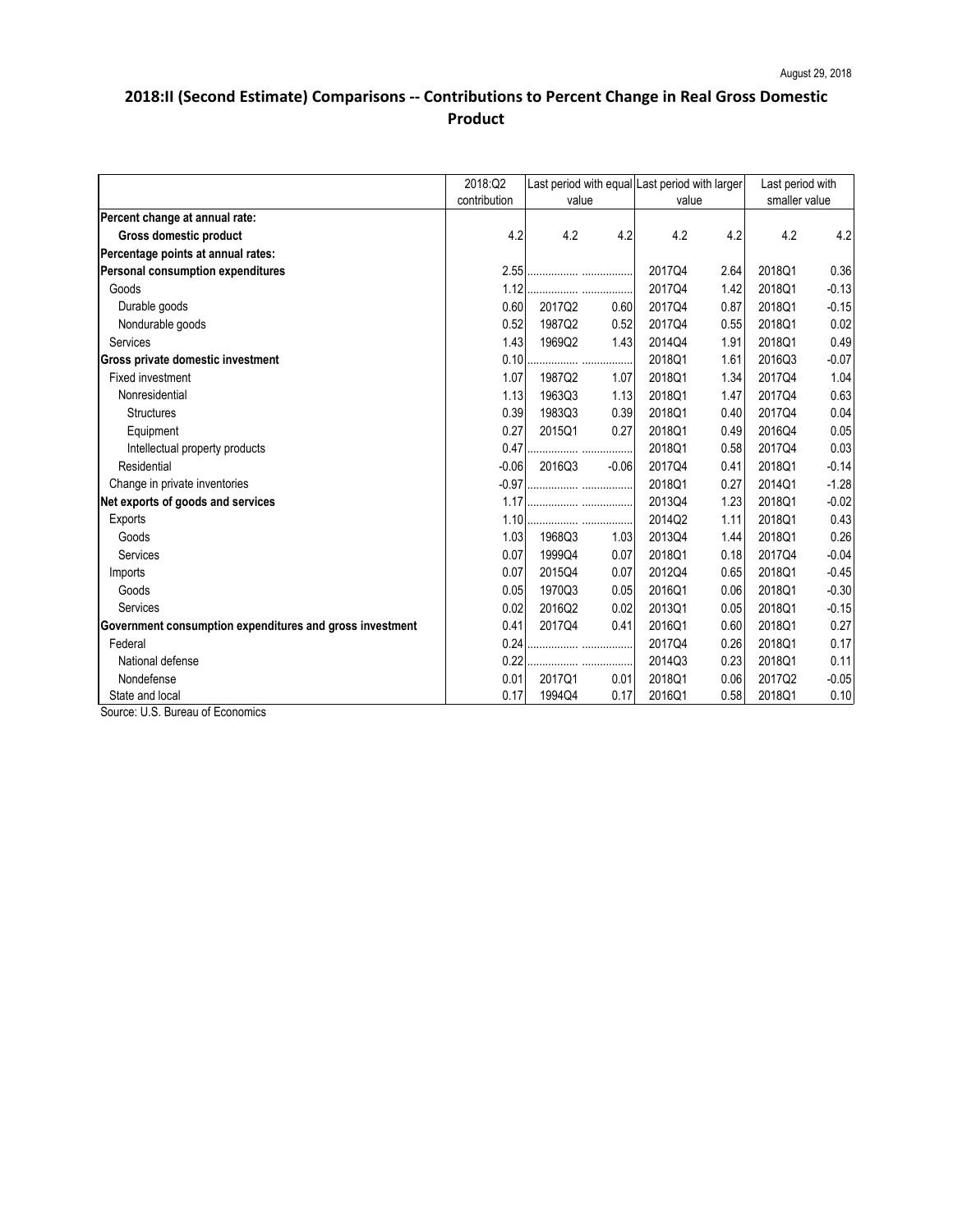|                                                          | 2018:Q2      | value  |         | Last period with equal Last period with larger<br>value |      | Last period with<br>smaller value |         |
|----------------------------------------------------------|--------------|--------|---------|---------------------------------------------------------|------|-----------------------------------|---------|
|                                                          | contribution |        |         |                                                         |      |                                   |         |
| Percent change at annual rate:                           |              |        |         |                                                         |      |                                   |         |
| <b>Gross domestic product</b>                            | 4.2          | 4.2    | 4.2     | 4.2                                                     | 4.2  | 4.2                               | 4.2     |
| Percentage points at annual rates:                       |              |        |         |                                                         |      |                                   |         |
| <b>Personal consumption expenditures</b>                 | 2.55         |        |         | 2017Q4                                                  | 2.64 | 2018Q1                            | 0.36    |
| Goods                                                    | 1.12         |        |         | 2017Q4                                                  | 1.42 | 2018Q1                            | $-0.13$ |
| Durable goods                                            | 0.60         | 2017Q2 | 0.60    | 2017Q4                                                  | 0.87 | 2018Q1                            | $-0.15$ |
| Nondurable goods                                         | 0.52         | 1987Q2 | 0.52    | 2017Q4                                                  | 0.55 | 2018Q1                            | 0.02    |
| Services                                                 | 1.43         | 1969Q2 | 1.43    | 2014Q4                                                  | 1.91 | 2018Q1                            | 0.49    |
| <b>Gross private domestic investment</b>                 | 0.10         |        | .       | 2018Q1                                                  | 1.61 | 2016Q3                            | $-0.07$ |
| <b>Fixed investment</b>                                  | 1.07         | 1987Q2 | 1.07    | 2018Q1                                                  | 1.34 | 2017Q4                            | 1.04    |
| Nonresidential                                           | 1.13         | 1963Q3 | 1.13    | 2018Q1                                                  | 1.47 | 2017Q4                            | 0.63    |
| <b>Structures</b>                                        | 0.39         | 1983Q3 | 0.39    | 2018Q1                                                  | 0.40 | 2017Q4                            | 0.04    |
| Equipment                                                | 0.27         | 2015Q1 | 0.27    | 2018Q1                                                  | 0.49 | 2016Q4                            | 0.05    |
| Intellectual property products                           | 0.47         |        |         | 2018Q1                                                  | 0.58 | 2017Q4                            | 0.03    |
| Residential                                              | $-0.06$      | 2016Q3 | $-0.06$ | 2017Q4                                                  | 0.41 | 2018Q1                            | $-0.14$ |
| Change in private inventories                            | $-0.97$      |        |         | 2018Q1                                                  | 0.27 | 2014Q1                            | $-1.28$ |
| Net exports of goods and services                        | 1.17         |        |         | 2013Q4                                                  | 1.23 | 2018Q1                            | $-0.02$ |
| <b>Exports</b>                                           | 1.10         |        |         | 2014Q2                                                  | 1.11 | 2018Q1                            | 0.43    |
| Goods                                                    | 1.03         | 1968Q3 | 1.03    | 2013Q4                                                  | 1.44 | 2018Q1                            | 0.26    |
| Services                                                 | 0.07         | 1999Q4 | 0.07    | 2018Q1                                                  | 0.18 | 2017Q4                            | $-0.04$ |
| Imports                                                  | 0.07         | 2015Q4 | 0.07    | 2012Q4                                                  | 0.65 | 2018Q1                            | $-0.45$ |
| Goods                                                    | 0.05         | 1970Q3 | 0.05    | 2016Q1                                                  | 0.06 | 2018Q1                            | $-0.30$ |
| Services                                                 | 0.02         | 2016Q2 | 0.02    | 2013Q1                                                  | 0.05 | 2018Q1                            | $-0.15$ |
| Government consumption expenditures and gross investment | 0.41         | 2017Q4 | 0.41    | 2016Q1                                                  | 0.60 | 2018Q1                            | 0.27    |
| Federal                                                  | 0.24         |        |         | 2017Q4                                                  | 0.26 | 2018Q1                            | 0.17    |
| National defense                                         | 0.22         |        |         | 2014Q3                                                  | 0.23 | 2018Q1                            | 0.11    |
| Nondefense                                               | 0.01         | 2017Q1 | 0.01    | 2018Q1                                                  | 0.06 | 2017Q2                            | $-0.05$ |
| State and local                                          | 0.17         | 1994Q4 | 0.17    | 2016Q1                                                  | 0.58 | 2018Q1                            | 0.10    |

Source: U.S. Bureau of Economics

## **2018:II (Second Estimate) Comparisons -- Contributions to Percent Change in Real Gross Domestic Product**